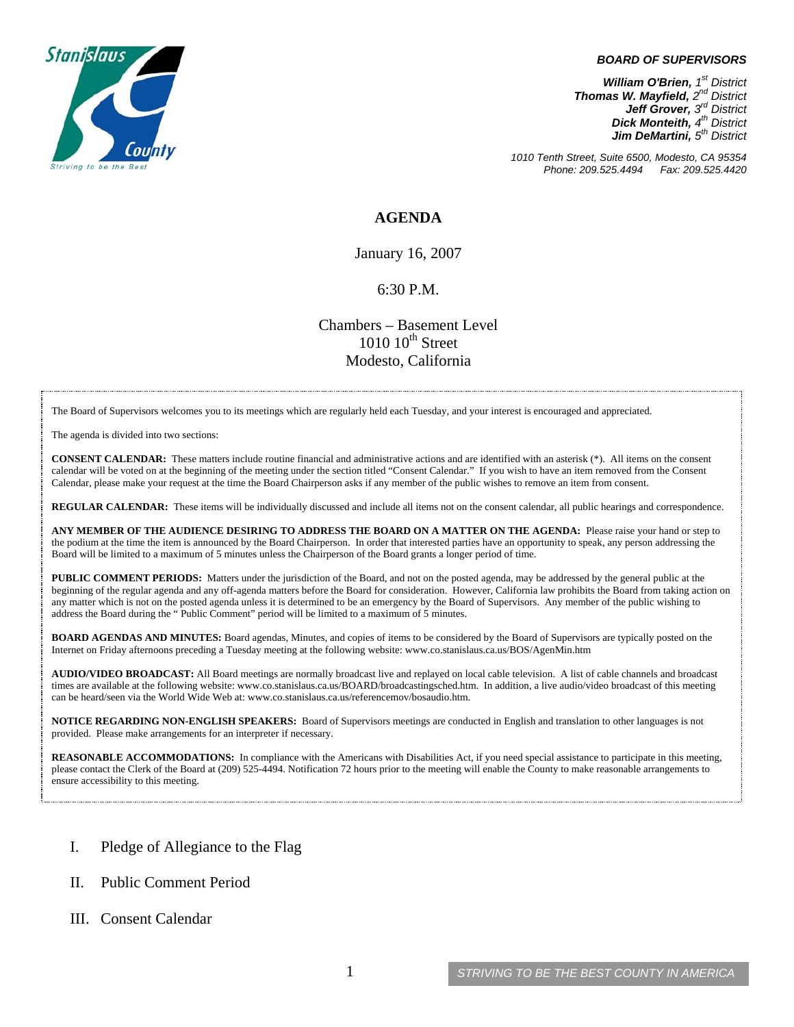

#### *BOARD OF SUPERVISORS*

*William O'Brien, 1<sup>st</sup> District Thomas W. Mayfield, 2nd District Jeff Grover, 3rd District Dick Monteith, 4<sup>th</sup> District Jim DeMartini, 5th District*

*1010 Tenth Street, Suite 6500, Modesto, CA 95354 Phone: 209.525.4494 Fax: 209.525.4420*

#### **AGENDA**

January 16, 2007

#### 6:30 P.M.

Chambers – Basement Level  $1010~10<sup>th</sup>$  Street Modesto, California

The Board of Supervisors welcomes you to its meetings which are regularly held each Tuesday, and your interest is encouraged and appreciated.

The agenda is divided into two sections:

**CONSENT CALENDAR:** These matters include routine financial and administrative actions and are identified with an asterisk (\*). All items on the consent calendar will be voted on at the beginning of the meeting under the section titled "Consent Calendar." If you wish to have an item removed from the Consent Calendar, please make your request at the time the Board Chairperson asks if any member of the public wishes to remove an item from consent.

**REGULAR CALENDAR:** These items will be individually discussed and include all items not on the consent calendar, all public hearings and correspondence.

**ANY MEMBER OF THE AUDIENCE DESIRING TO ADDRESS THE BOARD ON A MATTER ON THE AGENDA:** Please raise your hand or step to the podium at the time the item is announced by the Board Chairperson. In order that interested parties have an opportunity to speak, any person addressing the Board will be limited to a maximum of 5 minutes unless the Chairperson of the Board grants a longer period of time.

**PUBLIC COMMENT PERIODS:** Matters under the jurisdiction of the Board, and not on the posted agenda, may be addressed by the general public at the beginning of the regular agenda and any off-agenda matters before the Board for consideration. However, California law prohibits the Board from taking action on any matter which is not on the posted agenda unless it is determined to be an emergency by the Board of Supervisors. Any member of the public wishing to address the Board during the " Public Comment" period will be limited to a maximum of 5 minutes.

**BOARD AGENDAS AND MINUTES:** Board agendas, Minutes, and copies of items to be considered by the Board of Supervisors are typically posted on the Internet on Friday afternoons preceding a Tuesday meeting at the following website: [www.co.stanislaus.ca.us/BOS/AgenMin.htm](http://www.co.stanislaus.ca.us/BOS/AgenMin.htm) 

**AUDIO/VIDEO BROADCAST:** All Board meetings are normally broadcast live and replayed on local cable television. A list of cable channels and broadcast times are available at the following website: [www.co.stanislaus.ca.us/BOARD/broadcastingsched.htm](http://www.co.stanislaus.ca.us/BOARD/broadcastingsched.htm). In addition, a live audio/video broadcast of this meeting can be heard/seen via the World Wide Web at: [www.co.stanislaus.ca.us/referencemov/bosaudio.htm.](http://www.co.stanislaus.ca.us/referencemov/bosaudio.htm)

**NOTICE REGARDING NON-ENGLISH SPEAKERS:** Board of Supervisors meetings are conducted in English and translation to other languages is not provided. Please make arrangements for an interpreter if necessary.

**REASONABLE ACCOMMODATIONS:** In compliance with the Americans with Disabilities Act, if you need special assistance to participate in this meeting, please contact the Clerk of the Board at (209) 525-4494. Notification 72 hours prior to the meeting will enable the County to make reasonable arrangements to ensure accessibility to this meeting.

- I. Pledge of Allegiance to the Flag
- II. Public Comment Period
- III. Consent Calendar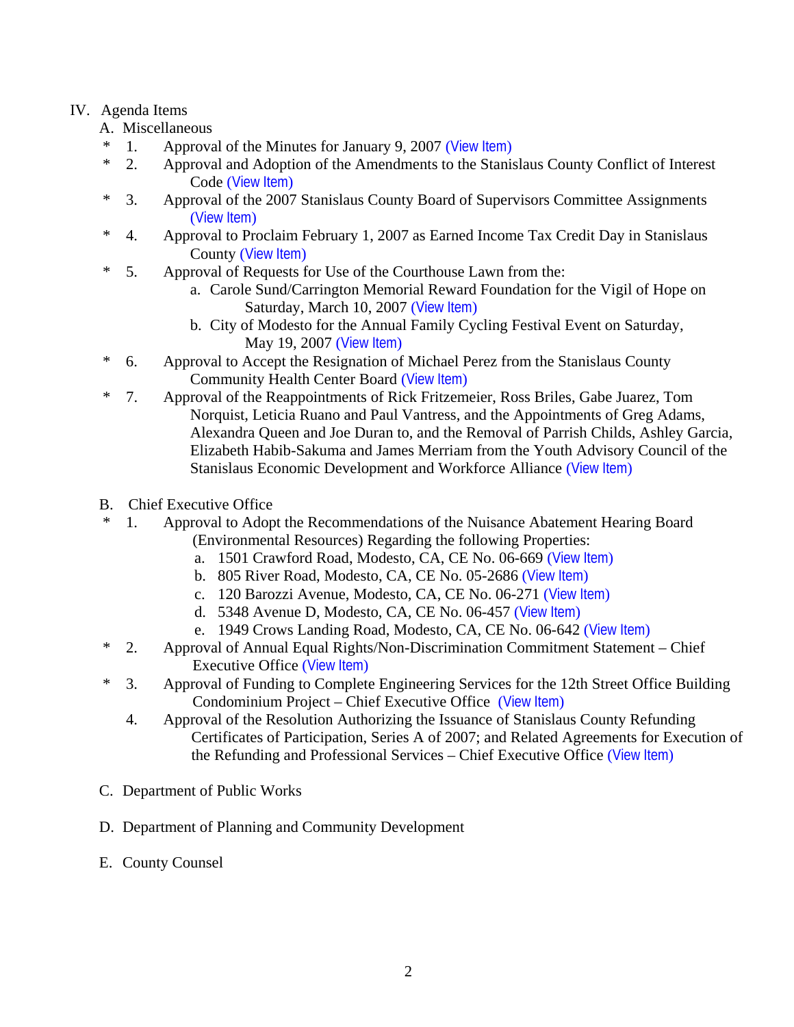# IV. Agenda Items

- A. Miscellaneous
- \* 1. Approval of the Minutes for January 9, 2007 ([View Item](http://www.co.stanislaus.ca.us/BOS/MINUTES/2007/min01-09-07.pdf))
- \* 2. Approval and Adoption of the Amendments to the Stanislaus County Conflict of Interest Code ([View Item](http://www.co.stanislaus.ca.us/BOS/Agenda/2007/20070116/A02.pdf))
- \* 3. Approval of the 2007 Stanislaus County Board of Supervisors Committee Assignments ([View Item](http://www.co.stanislaus.ca.us/BOS/Agenda/2007/20070116/A03.pdf))
- \* 4. Approval to Proclaim February 1, 2007 as Earned Income Tax Credit Day in Stanislaus County ([View Item](http://www.co.stanislaus.ca.us/BOS/Agenda/2007/20070116/A04.pdf))
- \* 5. Approval of Requests for Use of the Courthouse Lawn from the:
	- a. Carole Sund/Carrington Memorial Reward Foundation for the Vigil of Hope on Saturday, March 10, 2007 ([View Item](http://www.co.stanislaus.ca.us/BOS/Agenda/2007/20070116/A05a.pdf))
	- b. City of Modesto for the Annual Family Cycling Festival Event on Saturday, May 19, 2007 ([View Item](http://www.co.stanislaus.ca.us/BOS/Agenda/2007/20070116/A05b.pdf))
- \* 6. Approval to Accept the Resignation of Michael Perez from the Stanislaus County Community Health Center Board ([View Item](http://www.co.stanislaus.ca.us/BOS/Agenda/2007/20070116/A06.pdf))
- \* 7. Approval of the Reappointments of Rick Fritzemeier, Ross Briles, Gabe Juarez, Tom Norquist, Leticia Ruano and Paul Vantress, and the Appointments of Greg Adams, Alexandra Queen and Joe Duran to, and the Removal of Parrish Childs, Ashley Garcia, Elizabeth Habib-Sakuma and James Merriam from the Youth Advisory Council of the Stanislaus Economic Development and Workforce Alliance ([View Item](http://www.co.stanislaus.ca.us/BOS/Agenda/2007/20070116/A07.pdf))
- B. Chief Executive Office
- \* 1. Approval to Adopt the Recommendations of the Nuisance Abatement Hearing Board (Environmental Resources) Regarding the following Properties:
	- a. 1501 Crawford Road, Modesto, CA, CE No. 06-669 ([View Item](http://www.co.stanislaus.ca.us/BOS/Agenda/2007/20070116/B01a.pdf))
	- b. 805 River Road, Modesto, CA, CE No. 05-2686 ([View Item](http://www.co.stanislaus.ca.us/BOS/Agenda/2007/20070116/B01b.pdf))
	- c. 120 Barozzi Avenue, Modesto, CA, CE No. 06-271 ([View Item](http://www.co.stanislaus.ca.us/BOS/Agenda/2007/20070116/B01c.pdf))
	- d. 5348 Avenue D, Modesto, CA, CE No. 06-457 ([View Item](http://www.co.stanislaus.ca.us/BOS/Agenda/2007/20070116/B01d.pdf))
	- e. 1949 Crows Landing Road, Modesto, CA, CE No. 06-642 ([View Item](http://www.co.stanislaus.ca.us/BOS/Agenda/2007/20070116/B01e.pdf))
- \* 2. Approval of Annual Equal Rights/Non-Discrimination Commitment Statement Chief Executive Office ([View Item](http://www.co.stanislaus.ca.us/BOS/Agenda/2007/20070116/B02.pdf))
- \* 3. Approval of Funding to Complete Engineering Services for the 12th Street Office Building Condominium Project – Chief Executive Office ([View Item](http://www.co.stanislaus.ca.us/BOS/Agenda/2007/20070116/B03.pdf))
	- 4. Approval of the Resolution Authorizing the Issuance of Stanislaus County Refunding Certificates of Participation, Series A of 2007; and Related Agreements for Execution of the Refunding and Professional Services – Chief Executive Office ([View Item](http://www.co.stanislaus.ca.us/BOS/Agenda/2007/20070116/B04.pdf))
- C. Department of Public Works
- D. Department of Planning and Community Development
- E. County Counsel